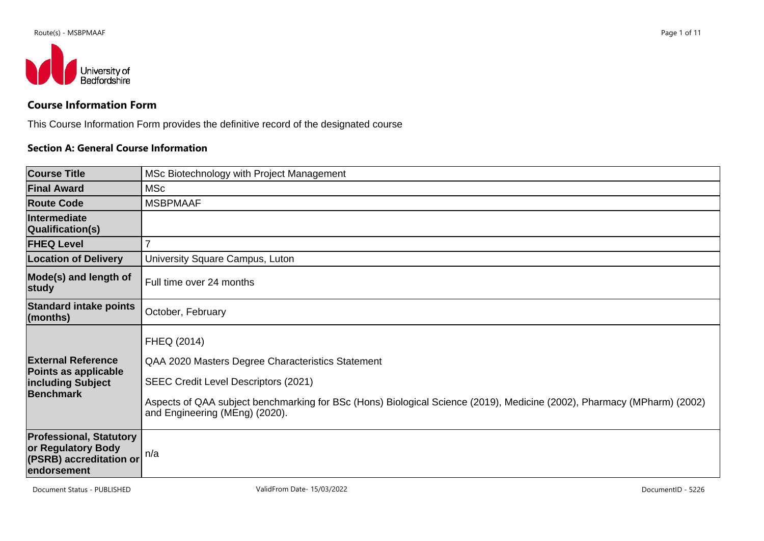

# **Course Information Form**

This Course Information Form provides the definitive record of the designated course

## **Section A: General Course Information**

| <b>Course Title</b>                                                                            | MSc Biotechnology with Project Management                                                                                                                                                                                                                             |
|------------------------------------------------------------------------------------------------|-----------------------------------------------------------------------------------------------------------------------------------------------------------------------------------------------------------------------------------------------------------------------|
| <b>Final Award</b>                                                                             | <b>MSc</b>                                                                                                                                                                                                                                                            |
| <b>Route Code</b>                                                                              | <b>MSBPMAAF</b>                                                                                                                                                                                                                                                       |
| Intermediate<br>Qualification(s)                                                               |                                                                                                                                                                                                                                                                       |
| <b>FHEQ Level</b>                                                                              |                                                                                                                                                                                                                                                                       |
| <b>Location of Delivery</b>                                                                    | University Square Campus, Luton                                                                                                                                                                                                                                       |
| Mode(s) and length of<br>study                                                                 | Full time over 24 months                                                                                                                                                                                                                                              |
| <b>Standard intake points</b><br>$ $ (months)                                                  | October, February                                                                                                                                                                                                                                                     |
| <b>External Reference</b><br>Points as applicable<br>including Subject<br><b>Benchmark</b>     | FHEQ (2014)<br>QAA 2020 Masters Degree Characteristics Statement<br>SEEC Credit Level Descriptors (2021)<br>Aspects of QAA subject benchmarking for BSc (Hons) Biological Science (2019), Medicine (2002), Pharmacy (MPharm) (2002)<br>and Engineering (MEng) (2020). |
| <b>Professional, Statutory</b><br>or Regulatory Body<br>(PSRB) accreditation or<br>endorsement | n/a                                                                                                                                                                                                                                                                   |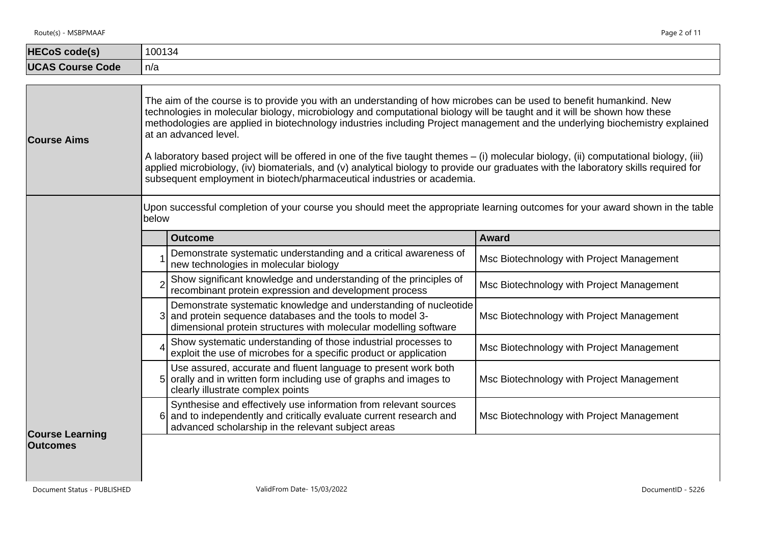Route(s) - MSBPMAAF Page 2 of 11

| <b>HECoS code(s)</b>    | 100134 |
|-------------------------|--------|
| <b>UCAS Course Code</b> | ' n/a  |

| <b>Course Aims</b>     |               | The aim of the course is to provide you with an understanding of how microbes can be used to benefit humankind. New<br>technologies in molecular biology, microbiology and computational biology will be taught and it will be shown how these<br>methodologies are applied in biotechnology industries including Project management and the underlying biochemistry explained<br>at an advanced level.<br>A laboratory based project will be offered in one of the five taught themes – (i) molecular biology, (ii) computational biology, (iii)<br>applied microbiology, (iv) biomaterials, and (v) analytical biology to provide our graduates with the laboratory skills required for<br>subsequent employment in biotech/pharmaceutical industries or academia. |                                           |  |  |  |  |  |  |  |  |
|------------------------|---------------|----------------------------------------------------------------------------------------------------------------------------------------------------------------------------------------------------------------------------------------------------------------------------------------------------------------------------------------------------------------------------------------------------------------------------------------------------------------------------------------------------------------------------------------------------------------------------------------------------------------------------------------------------------------------------------------------------------------------------------------------------------------------|-------------------------------------------|--|--|--|--|--|--|--|--|
|                        | lbelow        | Upon successful completion of your course you should meet the appropriate learning outcomes for your award shown in the table                                                                                                                                                                                                                                                                                                                                                                                                                                                                                                                                                                                                                                        |                                           |  |  |  |  |  |  |  |  |
|                        |               | <b>Outcome</b>                                                                                                                                                                                                                                                                                                                                                                                                                                                                                                                                                                                                                                                                                                                                                       | <b>Award</b>                              |  |  |  |  |  |  |  |  |
|                        |               | Demonstrate systematic understanding and a critical awareness of<br>new technologies in molecular biology                                                                                                                                                                                                                                                                                                                                                                                                                                                                                                                                                                                                                                                            | Msc Biotechnology with Project Management |  |  |  |  |  |  |  |  |
|                        | $\mathcal{P}$ | Show significant knowledge and understanding of the principles of<br>recombinant protein expression and development process                                                                                                                                                                                                                                                                                                                                                                                                                                                                                                                                                                                                                                          | Msc Biotechnology with Project Management |  |  |  |  |  |  |  |  |
|                        |               | Demonstrate systematic knowledge and understanding of nucleotide<br>3 and protein sequence databases and the tools to model 3-<br>dimensional protein structures with molecular modelling software                                                                                                                                                                                                                                                                                                                                                                                                                                                                                                                                                                   | Msc Biotechnology with Project Management |  |  |  |  |  |  |  |  |
|                        |               | Show systematic understanding of those industrial processes to<br>exploit the use of microbes for a specific product or application                                                                                                                                                                                                                                                                                                                                                                                                                                                                                                                                                                                                                                  | Msc Biotechnology with Project Management |  |  |  |  |  |  |  |  |
|                        |               | Use assured, accurate and fluent language to present work both<br>5 orally and in written form including use of graphs and images to<br>clearly illustrate complex points                                                                                                                                                                                                                                                                                                                                                                                                                                                                                                                                                                                            | Msc Biotechnology with Project Management |  |  |  |  |  |  |  |  |
| <b>Course Learning</b> |               | Synthesise and effectively use information from relevant sources<br>6 and to independently and critically evaluate current research and<br>advanced scholarship in the relevant subject areas                                                                                                                                                                                                                                                                                                                                                                                                                                                                                                                                                                        | Msc Biotechnology with Project Management |  |  |  |  |  |  |  |  |
| <b>Outcomes</b>        |               |                                                                                                                                                                                                                                                                                                                                                                                                                                                                                                                                                                                                                                                                                                                                                                      |                                           |  |  |  |  |  |  |  |  |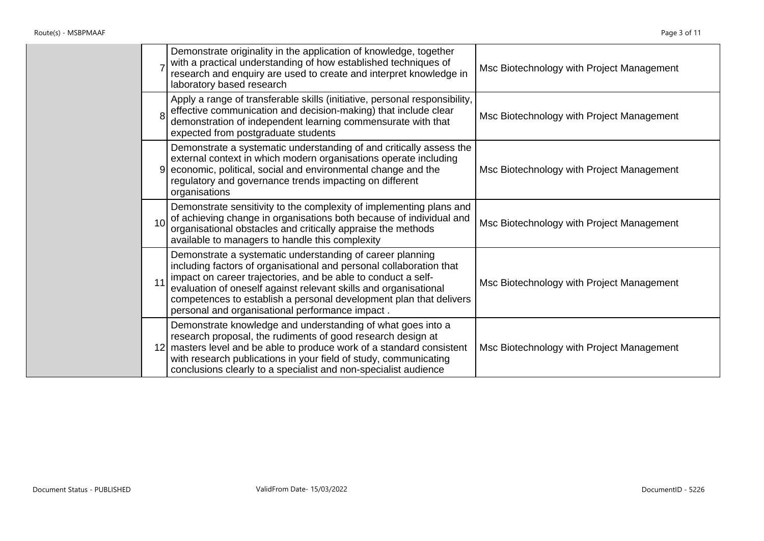|    | Demonstrate originality in the application of knowledge, together<br>with a practical understanding of how established techniques of<br>research and enquiry are used to create and interpret knowledge in<br>laboratory based research                                                                                                                                                        | Msc Biotechnology with Project Management |
|----|------------------------------------------------------------------------------------------------------------------------------------------------------------------------------------------------------------------------------------------------------------------------------------------------------------------------------------------------------------------------------------------------|-------------------------------------------|
|    | Apply a range of transferable skills (initiative, personal responsibility,<br>effective communication and decision-making) that include clear<br>demonstration of independent learning commensurate with that<br>expected from postgraduate students                                                                                                                                           | Msc Biotechnology with Project Management |
|    | Demonstrate a systematic understanding of and critically assess the<br>external context in which modern organisations operate including<br>9 economic, political, social and environmental change and the<br>regulatory and governance trends impacting on different<br>organisations                                                                                                          | Msc Biotechnology with Project Management |
| 10 | Demonstrate sensitivity to the complexity of implementing plans and<br>of achieving change in organisations both because of individual and<br>organisational obstacles and critically appraise the methods<br>available to managers to handle this complexity                                                                                                                                  | Msc Biotechnology with Project Management |
|    | Demonstrate a systematic understanding of career planning<br>including factors of organisational and personal collaboration that<br>impact on career trajectories, and be able to conduct a self-<br>evaluation of oneself against relevant skills and organisational<br>competences to establish a personal development plan that delivers<br>personal and organisational performance impact. | Msc Biotechnology with Project Management |
|    | Demonstrate knowledge and understanding of what goes into a<br>research proposal, the rudiments of good research design at<br>12 masters level and be able to produce work of a standard consistent<br>with research publications in your field of study, communicating<br>conclusions clearly to a specialist and non-specialist audience                                                     | Msc Biotechnology with Project Management |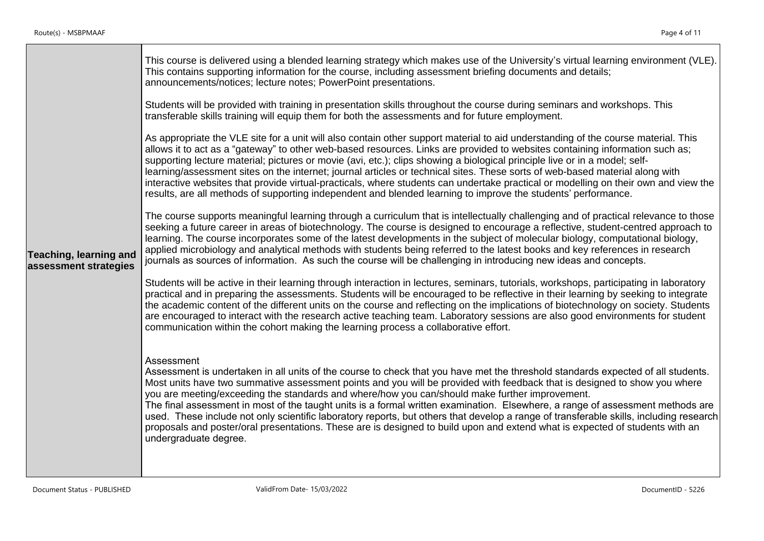|                                                 | This course is delivered using a blended learning strategy which makes use of the University's virtual learning environment (VLE).<br>This contains supporting information for the course, including assessment briefing documents and details;<br>announcements/notices; lecture notes; PowerPoint presentations.                                                                                                                                                                                                                                                                                                                                                                                                                                                                                                 |
|-------------------------------------------------|--------------------------------------------------------------------------------------------------------------------------------------------------------------------------------------------------------------------------------------------------------------------------------------------------------------------------------------------------------------------------------------------------------------------------------------------------------------------------------------------------------------------------------------------------------------------------------------------------------------------------------------------------------------------------------------------------------------------------------------------------------------------------------------------------------------------|
|                                                 | Students will be provided with training in presentation skills throughout the course during seminars and workshops. This<br>transferable skills training will equip them for both the assessments and for future employment.                                                                                                                                                                                                                                                                                                                                                                                                                                                                                                                                                                                       |
|                                                 | As appropriate the VLE site for a unit will also contain other support material to aid understanding of the course material. This<br>allows it to act as a "gateway" to other web-based resources. Links are provided to websites containing information such as;<br>supporting lecture material; pictures or movie (avi, etc.); clips showing a biological principle live or in a model; self-<br>learning/assessment sites on the internet; journal articles or technical sites. These sorts of web-based material along with<br>interactive websites that provide virtual-practicals, where students can undertake practical or modelling on their own and view the<br>results, are all methods of supporting independent and blended learning to improve the students' performance.                            |
| Teaching, learning and<br>assessment strategies | The course supports meaningful learning through a curriculum that is intellectually challenging and of practical relevance to those<br>seeking a future career in areas of biotechnology. The course is designed to encourage a reflective, student-centred approach to<br>learning. The course incorporates some of the latest developments in the subject of molecular biology, computational biology,<br>applied microbiology and analytical methods with students being referred to the latest books and key references in research<br>journals as sources of information. As such the course will be challenging in introducing new ideas and concepts.                                                                                                                                                       |
|                                                 | Students will be active in their learning through interaction in lectures, seminars, tutorials, workshops, participating in laboratory<br>practical and in preparing the assessments. Students will be encouraged to be reflective in their learning by seeking to integrate<br>the academic content of the different units on the course and reflecting on the implications of biotechnology on society. Students<br>are encouraged to interact with the research active teaching team. Laboratory sessions are also good environments for student<br>communication within the cohort making the learning process a collaborative effort.                                                                                                                                                                         |
|                                                 | Assessment<br>Assessment is undertaken in all units of the course to check that you have met the threshold standards expected of all students.<br>Most units have two summative assessment points and you will be provided with feedback that is designed to show you where<br>you are meeting/exceeding the standards and where/how you can/should make further improvement.<br>The final assessment in most of the taught units is a formal written examination. Elsewhere, a range of assessment methods are<br>used. These include not only scientific laboratory reports, but others that develop a range of transferable skills, including research<br>proposals and poster/oral presentations. These are is designed to build upon and extend what is expected of students with an<br>undergraduate degree. |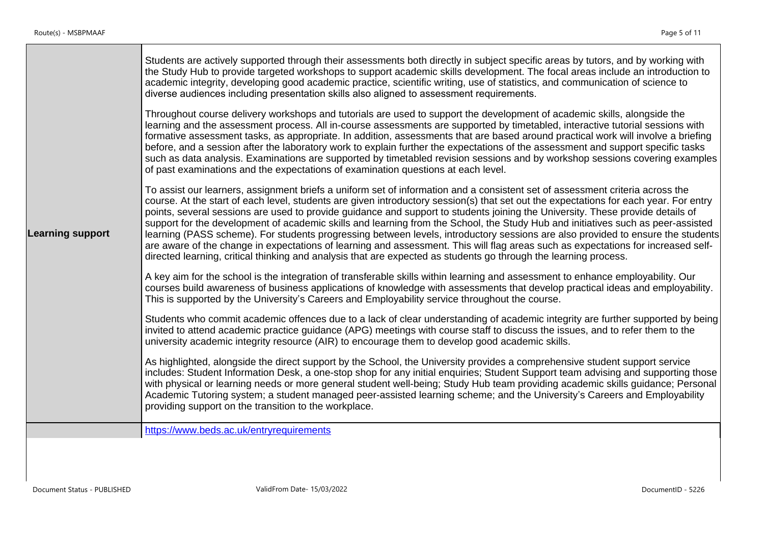|                         | Students are actively supported through their assessments both directly in subject specific areas by tutors, and by working with<br>the Study Hub to provide targeted workshops to support academic skills development. The focal areas include an introduction to<br>academic integrity, developing good academic practice, scientific writing, use of statistics, and communication of science to<br>diverse audiences including presentation skills also aligned to assessment requirements.                                                                                                                                                                                                                                                                                                                                                                                                                                          |
|-------------------------|------------------------------------------------------------------------------------------------------------------------------------------------------------------------------------------------------------------------------------------------------------------------------------------------------------------------------------------------------------------------------------------------------------------------------------------------------------------------------------------------------------------------------------------------------------------------------------------------------------------------------------------------------------------------------------------------------------------------------------------------------------------------------------------------------------------------------------------------------------------------------------------------------------------------------------------|
|                         | Throughout course delivery workshops and tutorials are used to support the development of academic skills, alongside the<br>learning and the assessment process. All in-course assessments are supported by timetabled, interactive tutorial sessions with<br>formative assessment tasks, as appropriate. In addition, assessments that are based around practical work will involve a briefing<br>before, and a session after the laboratory work to explain further the expectations of the assessment and support specific tasks<br>such as data analysis. Examinations are supported by timetabled revision sessions and by workshop sessions covering examples<br>of past examinations and the expectations of examination questions at each level.                                                                                                                                                                                 |
| <b>Learning support</b> | To assist our learners, assignment briefs a uniform set of information and a consistent set of assessment criteria across the<br>course. At the start of each level, students are given introductory session(s) that set out the expectations for each year. For entry<br>points, several sessions are used to provide guidance and support to students joining the University. These provide details of<br>support for the development of academic skills and learning from the School, the Study Hub and initiatives such as peer-assisted<br>learning (PASS scheme). For students progressing between levels, introductory sessions are also provided to ensure the students<br>are aware of the change in expectations of learning and assessment. This will flag areas such as expectations for increased self-<br>directed learning, critical thinking and analysis that are expected as students go through the learning process. |
|                         | A key aim for the school is the integration of transferable skills within learning and assessment to enhance employability. Our<br>courses build awareness of business applications of knowledge with assessments that develop practical ideas and employability.<br>This is supported by the University's Careers and Employability service throughout the course.                                                                                                                                                                                                                                                                                                                                                                                                                                                                                                                                                                      |
|                         | Students who commit academic offences due to a lack of clear understanding of academic integrity are further supported by being<br>invited to attend academic practice guidance (APG) meetings with course staff to discuss the issues, and to refer them to the<br>university academic integrity resource (AIR) to encourage them to develop good academic skills.                                                                                                                                                                                                                                                                                                                                                                                                                                                                                                                                                                      |
|                         | As highlighted, alongside the direct support by the School, the University provides a comprehensive student support service<br>includes: Student Information Desk, a one-stop shop for any initial enquiries; Student Support team advising and supporting those<br>with physical or learning needs or more general student well-being; Study Hub team providing academic skills guidance; Personal<br>Academic Tutoring system; a student managed peer-assisted learning scheme; and the University's Careers and Employability<br>providing support on the transition to the workplace.                                                                                                                                                                                                                                                                                                                                                |
|                         | https://www.beds.ac.uk/entryrequirements                                                                                                                                                                                                                                                                                                                                                                                                                                                                                                                                                                                                                                                                                                                                                                                                                                                                                                 |
|                         |                                                                                                                                                                                                                                                                                                                                                                                                                                                                                                                                                                                                                                                                                                                                                                                                                                                                                                                                          |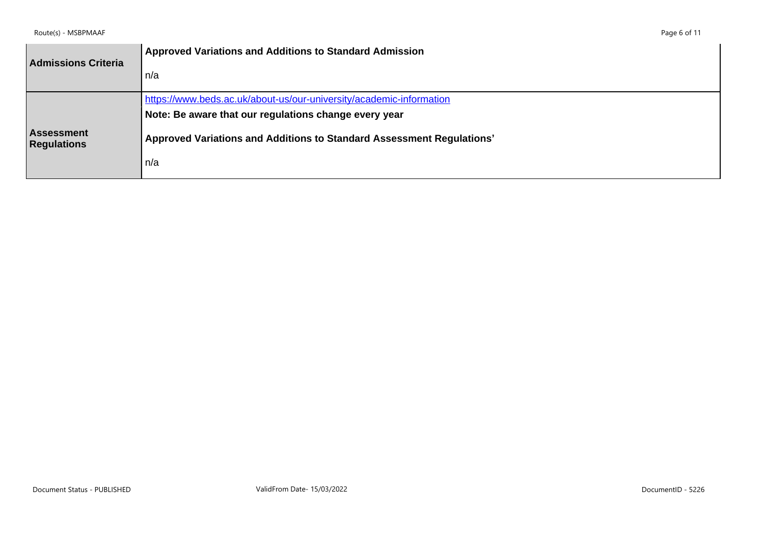| <b>Approved Variations and Additions to Standard Admission</b>        |
|-----------------------------------------------------------------------|
| ∣n/a                                                                  |
| https://www.beds.ac.uk/about-us/our-university/academic-information   |
| Note: Be aware that our regulations change every year                 |
| Approved Variations and Additions to Standard Assessment Regulations' |
| ∣n/a                                                                  |
|                                                                       |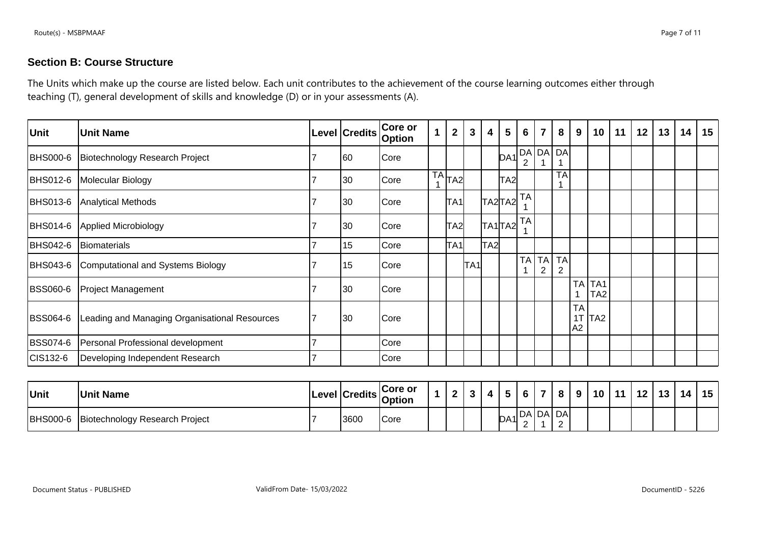The Units which make up the course are listed below. Each unit contributes to the achievement of the course learning outcomes either through teaching (T), general development of skills and knowledge (D) or in your assessments (A).

| Unit            | <b>Unit Name</b>                              | Level Credits | Core or<br><b>Option</b> | 1                                               | $\overline{2}$ | $\mathbf{3}$    | $\overline{4}$  | 5 <sup>1</sup>                         | 6         | $\overline{7}$              | 8              | 9               | 10                                 | 11 | 12 | 13 | 14 | 15 |
|-----------------|-----------------------------------------------|---------------|--------------------------|-------------------------------------------------|----------------|-----------------|-----------------|----------------------------------------|-----------|-----------------------------|----------------|-----------------|------------------------------------|----|----|----|----|----|
| <b>BHS000-6</b> | Biotechnology Research Project                | 160           | Core                     |                                                 |                |                 |                 | DA1 DA DA DAI                          |           |                             |                |                 |                                    |    |    |    |    |    |
| <b>BHS012-6</b> | Molecular Biology                             | 130           | Core                     | $1\overline{1A}$ $\overline{1A}$ $\overline{1}$ |                |                 |                 | TA <sub>2</sub>                        |           |                             | <b>TA</b>      |                 |                                    |    |    |    |    |    |
| <b>BHS013-6</b> | Analytical Methods                            | 30            | Core                     |                                                 | TA1            |                 |                 | TA2TA2                                 | <b>TA</b> |                             |                |                 |                                    |    |    |    |    |    |
| <b>BHS014-6</b> | <b>Applied Microbiology</b>                   | 130           | Core                     |                                                 | TA2            |                 |                 | \TA1 <mark>TA2<sup>  TÃ</sup> l</mark> |           |                             |                |                 |                                    |    |    |    |    |    |
| <b>BHS042-6</b> | <b>Biomaterials</b>                           | 15            | Core                     |                                                 | TA1            |                 | TA <sub>2</sub> |                                        |           |                             |                |                 |                                    |    |    |    |    |    |
| <b>BHS043-6</b> | Computational and Systems Biology             | 15            | Core                     |                                                 |                | $\mathsf{T}$ A1 |                 |                                        | <b>TA</b> | <b>TA</b><br>$\overline{2}$ | <b>TA</b><br>2 |                 |                                    |    |    |    |    |    |
| <b>BSS060-6</b> | Project Management                            | 30            | Core                     |                                                 |                |                 |                 |                                        |           |                             |                | <b>TA</b>       | TA <sub>1</sub><br>TA <sub>2</sub> |    |    |    |    |    |
| <b>BSS064-6</b> | Leading and Managing Organisational Resources | 130           | Core                     |                                                 |                |                 |                 |                                        |           |                             |                | <b>TA</b><br>A2 | $1T$ TA2                           |    |    |    |    |    |
| <b>BSS074-6</b> | Personal Professional development             |               | Core                     |                                                 |                |                 |                 |                                        |           |                             |                |                 |                                    |    |    |    |    |    |
| CIS132-6        | Developing Independent Research               |               | Core                     |                                                 |                |                 |                 |                                        |           |                             |                |                 |                                    |    |    |    |    |    |

| Unit            | <b>Unit Name</b>               |      | <b>ICore or</b><br>lLevel Credits option | Ω. | $\mathbf{r}$ | 4 |     | $\epsilon$ | 8           | 9 | 10 <sup>1</sup> | 11 | 12 | 13 | 14 | 15 <sup>1</sup> |
|-----------------|--------------------------------|------|------------------------------------------|----|--------------|---|-----|------------|-------------|---|-----------------|----|----|----|----|-----------------|
| <b>BHS000-6</b> | Biotechnology Research Project | 3600 | Core                                     |    |              |   | DAT |            | .IDA DA DAI |   |                 |    |    |    |    |                 |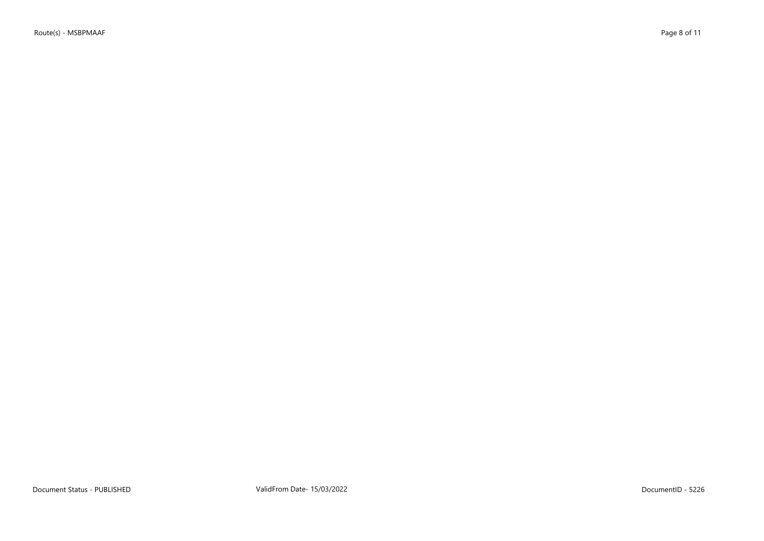Route(s) - MSBPMAAF Page 8 of 11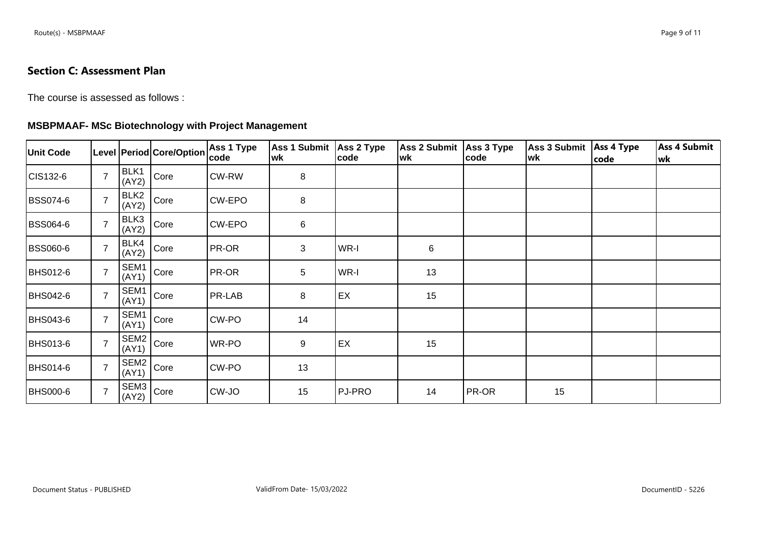## **Section C: Assessment Plan**

The course is assessed as follows :

#### **MSBPMAAF- MSc Biotechnology with Project Management**

| <b>Unit Code</b> |                |                           | Level Period Core/Option | <b>Ass 1 Type</b><br> code | <b>Ass 1 Submit</b><br>wk | Ass 2 Type<br> code | Ass 2 Submit   Ass 3 Type<br>wk | code  | Ass 3 Submit   Ass 4 Type<br>wk | code | <b>Ass 4 Submit</b><br> wk |
|------------------|----------------|---------------------------|--------------------------|----------------------------|---------------------------|---------------------|---------------------------------|-------|---------------------------------|------|----------------------------|
| CIS132-6         | 7              | BLK1<br>(AY2)             | Core                     | CW-RW                      | 8                         |                     |                                 |       |                                 |      |                            |
| <b>BSS074-6</b>  | $\overline{7}$ | BLK <sub>2</sub><br>(AY2) | Core                     | CW-EPO                     | 8                         |                     |                                 |       |                                 |      |                            |
| <b>BSS064-6</b>  | $\overline{7}$ | BLK3<br>(AY2)             | Core                     | CW-EPO                     | 6                         |                     |                                 |       |                                 |      |                            |
| <b>BSS060-6</b>  | $\overline{7}$ | BLK4<br>(AY2)             | Core                     | PR-OR                      | 3                         | WR-I                | 6                               |       |                                 |      |                            |
| BHS012-6         | $\overline{7}$ | SEM1<br>(AY1)             | Core                     | PR-OR                      | 5                         | WR-I                | 13                              |       |                                 |      |                            |
| BHS042-6         | $\overline{7}$ | SEM1<br>(AY1)             | Core                     | PR-LAB                     | 8                         | EX                  | 15                              |       |                                 |      |                            |
| <b>BHS043-6</b>  | $\overline{7}$ | SEM1<br>(AY1)             | Core                     | CW-PO                      | 14                        |                     |                                 |       |                                 |      |                            |
| BHS013-6         | $\overline{7}$ | (AY1)                     | SEM <sub>2</sub> Core    | WR-PO                      | 9                         | EX                  | 15                              |       |                                 |      |                            |
| <b>BHS014-6</b>  | $\overline{7}$ | SEM2<br>(AY1)             | Core                     | CW-PO                      | 13                        |                     |                                 |       |                                 |      |                            |
| <b>BHS000-6</b>  |                | SEM3<br>(AY2)             | Core                     | CW-JO                      | 15                        | PJ-PRO              | 14                              | PR-OR | 15                              |      |                            |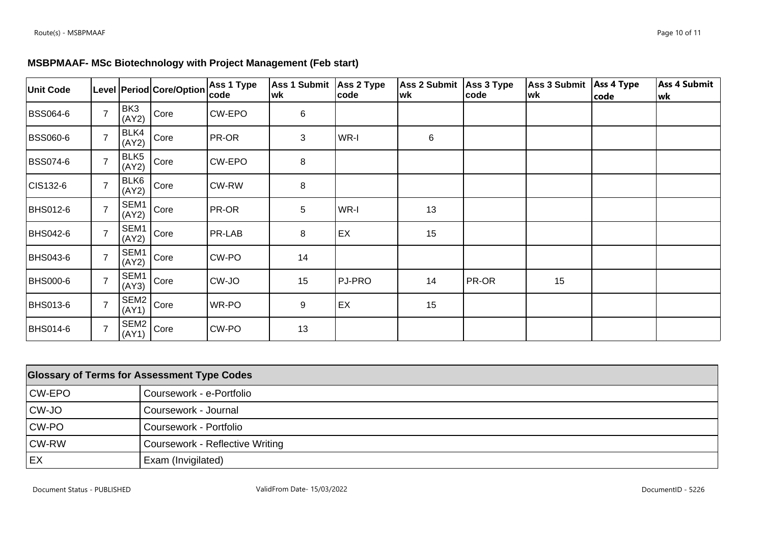| <b>Unit Code</b> |                |                           | Level Period Core/Option                 | Ass 1 Type<br>code | Ass 1 Submit   Ass 2 Type<br>wk | code   | <b>Ass 2 Submit</b><br>wk | Ass 3 Type<br>code | Ass 3 Submit   Ass 4 Type<br>wk | code | <b>Ass 4 Submit</b><br> wk |
|------------------|----------------|---------------------------|------------------------------------------|--------------------|---------------------------------|--------|---------------------------|--------------------|---------------------------------|------|----------------------------|
| <b>BSS064-6</b>  | $\overline{7}$ | BK <sub>3</sub><br>(AY2)  | Core                                     | CW-EPO             | 6                               |        |                           |                    |                                 |      |                            |
| <b>BSS060-6</b>  | $\overline{7}$ | BLK4<br>(AY2)             | Core                                     | PR-OR              | 3                               | WR-I   | $\,6$                     |                    |                                 |      |                            |
| <b>BSS074-6</b>  | $\overline{7}$ | BLK <sub>5</sub><br>(AY2) | Core                                     | CW-EPO             | 8                               |        |                           |                    |                                 |      |                            |
| CIS132-6         | $\overline{7}$ | BLK6<br>(AY2)             | Core                                     | CW-RW              | 8                               |        |                           |                    |                                 |      |                            |
| BHS012-6         | $\overline{7}$ | SEM1<br>(AY2)             | Core                                     | PR-OR              | 5                               | WR-I   | 13                        |                    |                                 |      |                            |
| <b>BHS042-6</b>  | $\overline{7}$ | SEM1<br>(AY2)             | Core                                     | PR-LAB             | 8                               | EX     | 15                        |                    |                                 |      |                            |
| <b>BHS043-6</b>  | $\overline{7}$ | SEM1<br>(AY2)             | Core                                     | CW-PO              | 14                              |        |                           |                    |                                 |      |                            |
| <b>BHS000-6</b>  | $\overline{7}$ | SEM1<br>(AY3)             | Core                                     | CW-JO              | 15                              | PJ-PRO | 14                        | PR-OR              | 15                              |      |                            |
| <b>BHS013-6</b>  | $\overline{7}$ | SEM <sub>2</sub><br>(AY1) | Core                                     | WR-PO              | 9                               | EX     | 15                        |                    |                                 |      |                            |
| BHS014-6         |                | (AY1)                     | $ \overline{\text{SEM2}} _{\text{Core}}$ | CW-PO              | 13                              |        |                           |                    |                                 |      |                            |

#### **MSBPMAAF- MSc Biotechnology with Project Management (Feb start)**

| <b>Glossary of Terms for Assessment Type Codes</b> |                                 |  |  |  |  |  |  |
|----------------------------------------------------|---------------------------------|--|--|--|--|--|--|
| CW-EPO                                             | Coursework - e-Portfolio        |  |  |  |  |  |  |
| CW-JO                                              | l Coursework - Journal          |  |  |  |  |  |  |
| CW-PO                                              | l Coursework - Portfolio        |  |  |  |  |  |  |
| CW-RW                                              | Coursework - Reflective Writing |  |  |  |  |  |  |
| EX                                                 | Exam (Invigilated)              |  |  |  |  |  |  |